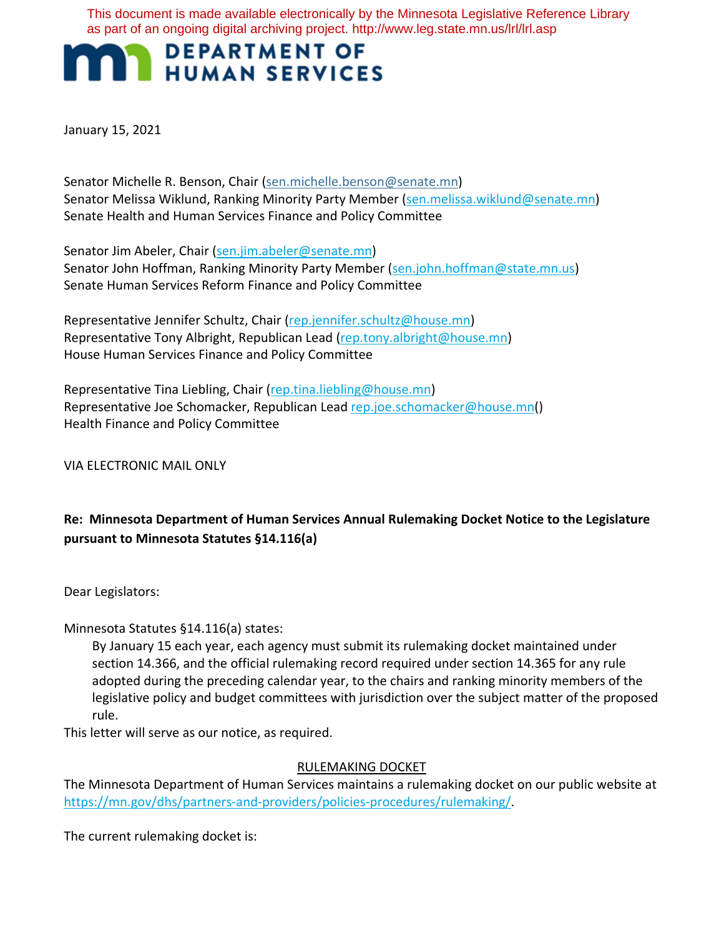This document is made available electronically by the Minnesota Legislative Reference Library as part of an ongoing digital archiving project. http://www.leg.state.mn.us/lrl/lrl.asp

# **MAN DEPARTMENT OF HUMAN SERVICES**

January 15, 2021

Senator Michelle R. Benson, Chair (sen.michelle.benson@senate.mn) Senator Melissa Wiklund, Ranking Minority Party Member (sen.melissa.wiklund@senate.mn) Senate Health and Human Services Finance and Policy Committee

Senator Jim Abeler, Chair (sen.jim.abeler@senate.mn) Senator John Hoffman, Ranking Minority Party Member (sen.john.hoffman@state.mn.us) Senate Human Services Reform Finance and Policy Committee

Representative Jennifer Schultz, Chair (rep.jennifer.schultz@house.mn) Representative Tony Albright, Republican Lead (rep.tony.albright@house.mn) House Human Services Finance and Policy Committee

Representative Tina Liebling, Chair (rep.tina.liebling@house.mn) Representative Joe Schomacker, Republican Lead rep.joe.schomacker@house.mn() Health Finance and Policy Committee

VIA ELECTRONIC MAIL ONLY

# **Re: Minnesota Department of Human Services Annual Rulemaking Docket Notice to the Legislature pursuant to Minnesota Statutes §14.116(a)**

Dear Legislators:

Minnesota Statutes §14.116(a) states:

By January 15 each year, each agency must submit its rulemaking docket maintained under section 14.366, and the official rulemaking record required under section 14.365 for any rule adopted during the preceding calendar year, to the chairs and ranking minority members of the legislative policy and budget committees with jurisdiction over the subject matter of the proposed rule.

This letter will serve as our notice, as required.

## RULEMAKING DOCKET

The Minnesota Department of Human Services maintains a rulemaking docket on our public website at https://mn.gov/dhs/partners-and-providers/policies-procedures/rulemaking/.

The current rulemaking docket is: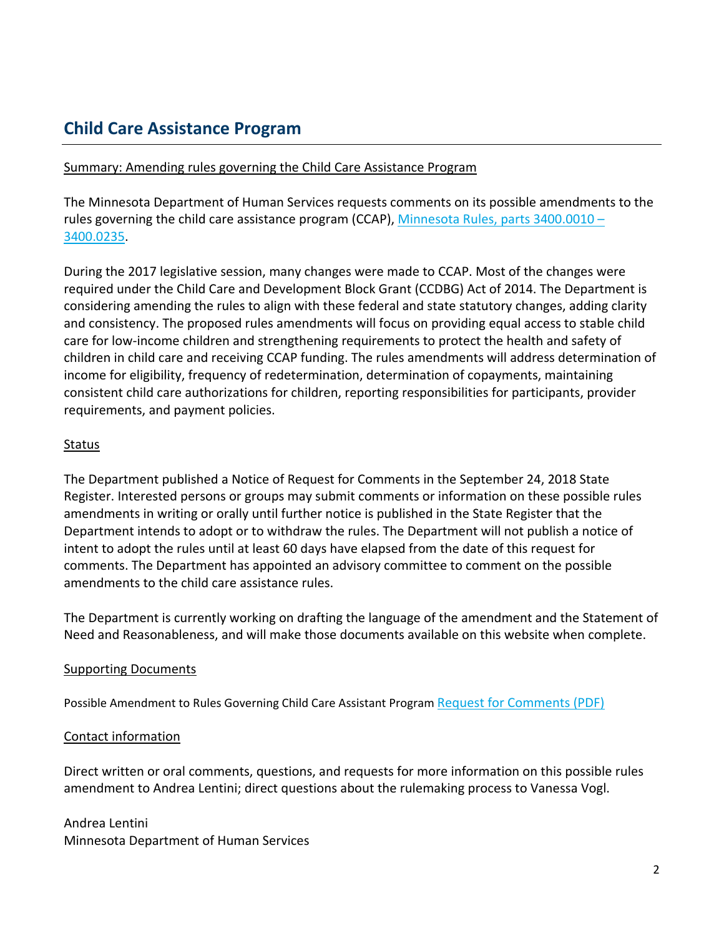# **Child Care Assistance Program**

#### Summary: Amending rules governing the Child Care Assistance Program

The Minnesota Department of Human Services requests comments on its possible amendments to the rules governing the child care assistance program (CCAP), Minnesota Rules, parts 3400.0010 -[3400.0235.](https://www.revisor.mn.gov/rules/3400/)

During the 2017 legislative session, many changes were made to CCAP. Most of the changes were required under the Child Care and Development Block Grant (CCDBG) Act of 2014. The Department is considering amending the rules to align with these federal and state statutory changes, adding clarity and consistency. The proposed rules amendments will focus on providing equal access to stable child care for low-income children and strengthening requirements to protect the health and safety of children in child care and receiving CCAP funding. The rules amendments will address determination of income for eligibility, frequency of redetermination, determination of copayments, maintaining consistent child care authorizations for children, reporting responsibilities for participants, provider requirements, and payment policies.

#### Status

The Department published a Notice of Request for Comments in the September 24, 2018 State Register. Interested persons or groups may submit comments or information on these possible rules amendments in writing or orally until further notice is published in the State Register that the Department intends to adopt or to withdraw the rules. The Department will not publish a notice of intent to adopt the rules until at least 60 days have elapsed from the date of this request for comments. The Department has appointed an advisory committee to comment on the possible amendments to the child care assistance rules.

The Department is currently working on drafting the language of the amendment and the Statement of Need and Reasonableness, and will make those documents available on this website when complete.

## Supporting Documents

Possible Amendment to Rules Governing Child Care Assistant Program [Request for Comments \(PDF\)](https://stage.wcm.mnit.mn.gov/dhs/assets/Request-for-comments-CCAP_tcm1053-352434.pdf) 

## Contact information

Direct written or oral comments, questions, and requests for more information on this possible rules amendment to Andrea Lentini; direct questions about the rulemaking process to Vanessa Vogl.

Andrea Lentini Minnesota Department of Human Services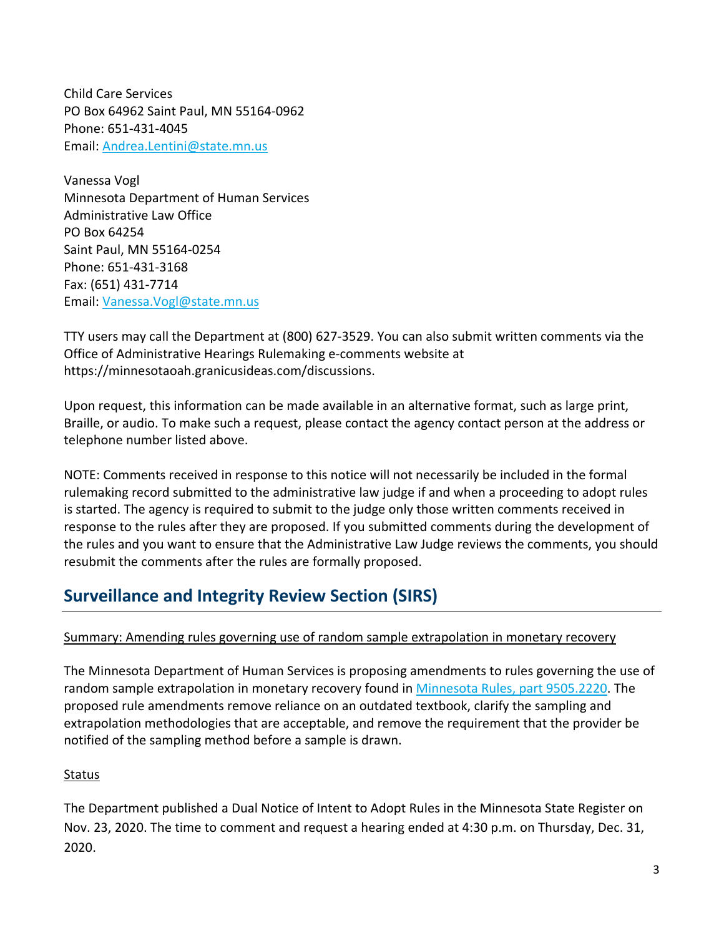Child Care Services PO Box 64962 Saint Paul, MN 55164-0962 Phone: 651-431-4045 Email: [Andrea.Lentini@state.mn.us](mailto:%20Andrea.Lentini@state.mn.us)

Vanessa Vogl Minnesota Department of Human Services Administrative Law Office PO Box 64254 Saint Paul, MN 55164-0254 Phone: 651-431-3168 Fax: (651) 431-7714 Email: [Vanessa.Vogl@state.mn.us](mailto:%20Vanessa.Vogl@state.mn.us)

TTY users may call the Department at (800) 627-3529. You can also submit written comments via the Office of Administrative Hearings Rulemaking e-comments website at https://minnesotaoah.granicusideas.com/discussions.

Upon request, this information can be made available in an alternative format, such as large print, Braille, or audio. To make such a request, please contact the agency contact person at the address or telephone number listed above.

NOTE: Comments received in response to this notice will not necessarily be included in the formal rulemaking record submitted to the administrative law judge if and when a proceeding to adopt rules is started. The agency is required to submit to the judge only those written comments received in response to the rules after they are proposed. If you submitted comments during the development of the rules and you want to ensure that the Administrative Law Judge reviews the comments, you should resubmit the comments after the rules are formally proposed.

# **Surveillance and Integrity Review Section (SIRS)**

# Summary: Amending rules governing use of random sample extrapolation in monetary recovery

The Minnesota Department of Human Services is proposing amendments to rules governing the use of random sample extrapolation in monetary recovery found in [Minnesota Rules, part 9505.2220.](https://www.revisor.mn.gov/rules/9505.2220/) The proposed rule amendments remove reliance on an outdated textbook, clarify the sampling and extrapolation methodologies that are acceptable, and remove the requirement that the provider be notified of the sampling method before a sample is drawn.

## Status

The Department published a Dual Notice of Intent to Adopt Rules in the Minnesota State Register on Nov. 23, 2020. The time to comment and request a hearing ended at 4:30 p.m. on Thursday, Dec. 31, 2020.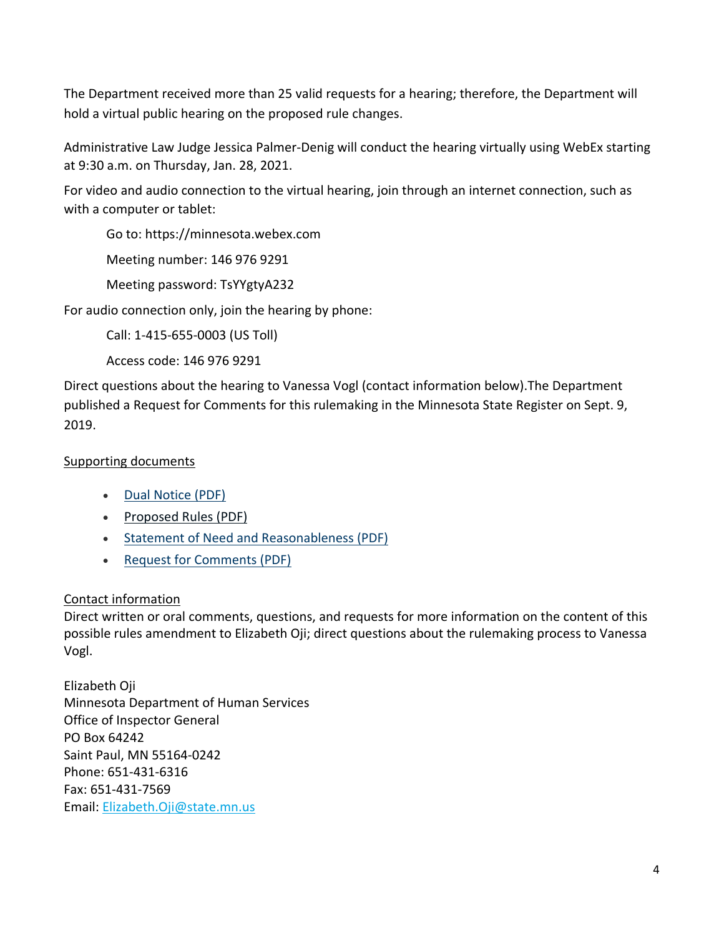The Department received more than 25 valid requests for a hearing; therefore, the Department will hold a virtual public hearing on the proposed rule changes.

Administrative Law Judge Jessica Palmer-Denig will conduct the hearing virtually using WebEx starting at 9:30 a.m. on Thursday, Jan. 28, 2021.

For video and audio connection to the virtual hearing, join through an internet connection, such as with a computer or tablet:

Go to: https://minnesota.webex.com

Meeting number: 146 976 9291

Meeting password: TsYYgtyA232

For audio connection only, join the hearing by phone:

Call: 1-415-655-0003 (US Toll)

Access code: 146 976 9291

Direct questions about the hearing to Vanessa Vogl (contact information below).The Department published a Request for Comments for this rulemaking in the Minnesota State Register on Sept. 9, 2019.

# Supporting documents

- [Dual Notice \(PDF\)](https://mn.gov/dhs/assets/SIRS-dual-notice_tcm1053-454004.pdf)
- [Proposed Rules \(PDF\)](https://mn.gov/dhs/assets/sirs-proposed-rules_tcm1053-454005.pdf)
- [Statement of Need and Reasonableness \(PDF\)](https://mn.gov/dhs/assets/statistical-extrapolation-statement-of-need-and-reasonableness_tcm1053-454006.pdf)
- [Request for Comments \(PDF\)](https://mn.gov/dhs/assets/SIRS_Request%20for%20Comments_tcm1053-401725.pdf)

# Contact information

Direct written or oral comments, questions, and requests for more information on the content of this possible rules amendment to Elizabeth Oji; direct questions about the rulemaking process to Vanessa Vogl.

Elizabeth Oji Minnesota Department of Human Services Office of Inspector General PO Box 64242 Saint Paul, MN 55164-0242 Phone: 651-431-6316 Fax: 651-431-7569 Email: [Elizabeth.Oji@state.mn.us](mailto:elizabeth.oji@state.mn.us)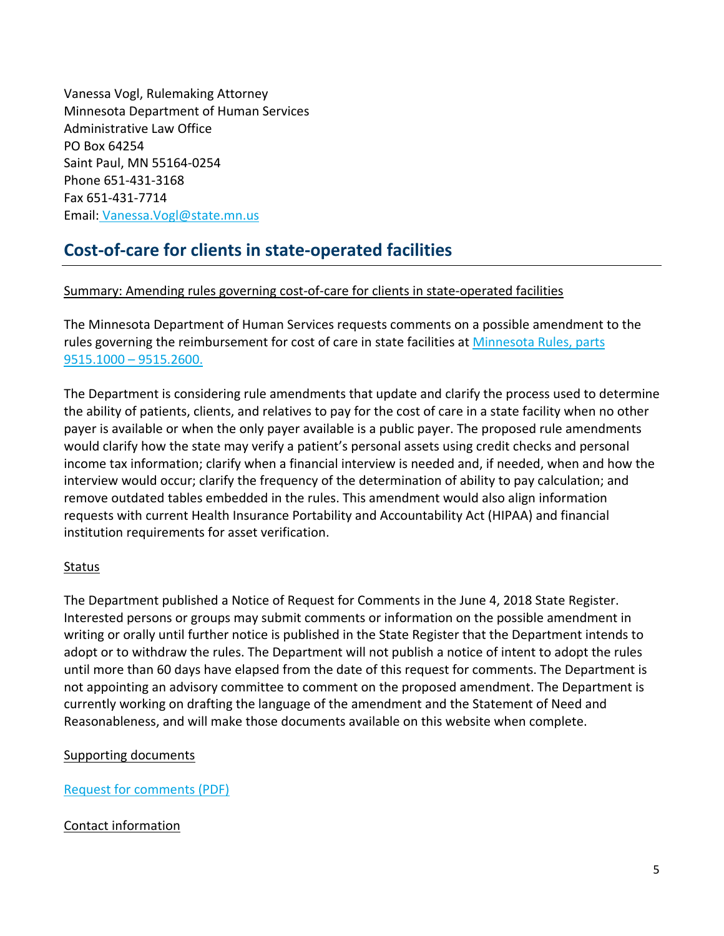Vanessa Vogl, Rulemaking Attorney Minnesota Department of Human Services Administrative Law Office PO Box 64254 Saint Paul, MN 55164-0254 Phone 651-431-3168 Fax 651-431-7714 Email: [Vanessa.Vogl@state.mn.us](mailto:vanessa.vogl@state.mn.us) 

# **Cost-of-care for clients in state-operated facilities**

# Summary: Amending rules governing cost-of-care for clients in state-operated facilities

The Minnesota Department of Human Services requests comments on a possible amendment to the rules governing the reimbursement for cost of care in state facilities at [Minnesota Rules, parts](https://www.revisor.mn.gov/rules/9515/full#rule.9515.1000)  [9515.1000 –](https://www.revisor.mn.gov/rules/9515/full#rule.9515.1000) 9515.2600.

The Department is considering rule amendments that update and clarify the process used to determine the ability of patients, clients, and relatives to pay for the cost of care in a state facility when no other payer is available or when the only payer available is a public payer. The proposed rule amendments would clarify how the state may verify a patient's personal assets using credit checks and personal income tax information; clarify when a financial interview is needed and, if needed, when and how the interview would occur; clarify the frequency of the determination of ability to pay calculation; and remove outdated tables embedded in the rules. This amendment would also align information requests with current Health Insurance Portability and Accountability Act (HIPAA) and financial institution requirements for asset verification.

## **Status**

The Department published a Notice of Request for Comments in the June 4, 2018 State Register. Interested persons or groups may submit comments or information on the possible amendment in writing or orally until further notice is published in the State Register that the Department intends to adopt or to withdraw the rules. The Department will not publish a notice of intent to adopt the rules until more than 60 days have elapsed from the date of this request for comments. The Department is not appointing an advisory committee to comment on the proposed amendment. The Department is currently working on drafting the language of the amendment and the Statement of Need and Reasonableness, and will make those documents available on this website when complete.

## Supporting documents

[Request for comments \(PDF\)](https://stage.wcm.mnit.mn.gov/dhs/assets/2018-request-for-comments-cost-of-care-rule_tcm1053-341816.pdf)

# Contact information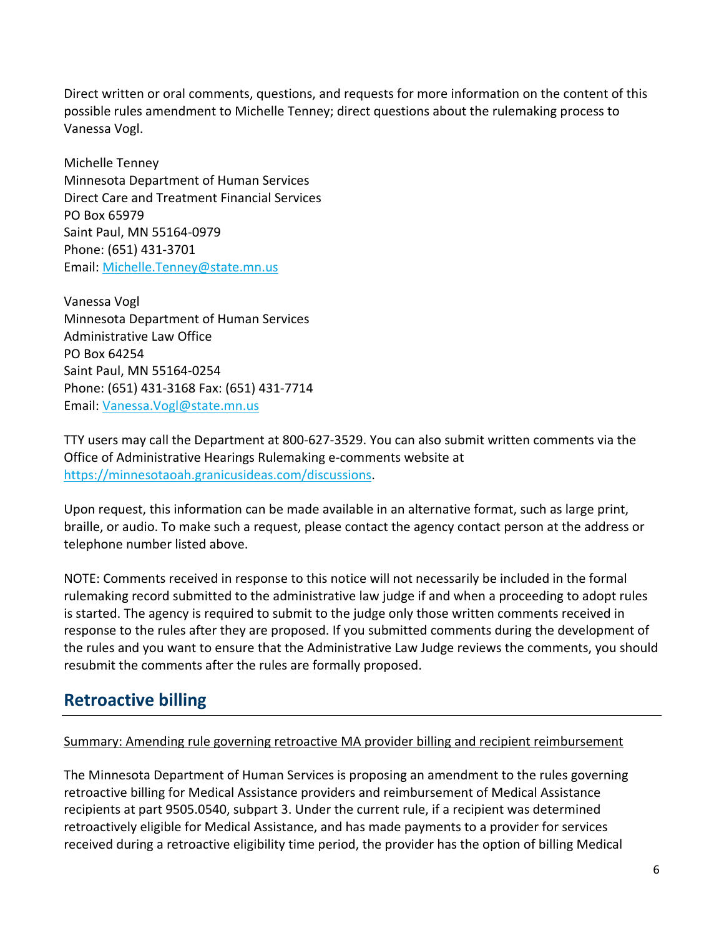Direct written or oral comments, questions, and requests for more information on the content of this possible rules amendment to Michelle Tenney; direct questions about the rulemaking process to Vanessa Vogl.

Michelle Tenney Minnesota Department of Human Services Direct Care and Treatment Financial Services PO Box 65979 Saint Paul, MN 55164-0979 Phone: (651) 431-3701 Email: [Michelle.Tenney@state.mn.us](mailto:Michelle.Tenney@state.mn.us)

Vanessa Vogl Minnesota Department of Human Services Administrative Law Office PO Box 64254 Saint Paul, MN 55164-0254 Phone: (651) 431-3168 Fax: (651) 431-7714 Email: [Vanessa.Vogl@state.mn.us](mailto:Vanessa.Vogl@state.mn.us)

TTY users may call the Department at 800-627-3529. You can also submit written comments via the Office of Administrative Hearings Rulemaking e-comments website at [https://minnesotaoah.granicusideas.com/discussions.](https://minnesotaoah.granicusideas.com/discussions)

Upon request, this information can be made available in an alternative format, such as large print, braille, or audio. To make such a request, please contact the agency contact person at the address or telephone number listed above.

NOTE: Comments received in response to this notice will not necessarily be included in the formal rulemaking record submitted to the administrative law judge if and when a proceeding to adopt rules is started. The agency is required to submit to the judge only those written comments received in response to the rules after they are proposed. If you submitted comments during the development of the rules and you want to ensure that the Administrative Law Judge reviews the comments, you should resubmit the comments after the rules are formally proposed.

# **Retroactive billing**

## Summary: Amending rule governing retroactive MA provider billing and recipient reimbursement

The Minnesota Department of Human Services is proposing an amendment to the rules governing retroactive billing for Medical Assistance providers and reimbursement of Medical Assistance recipients at part 9505.0540, subpart 3. Under the current rule, if a recipient was determined retroactively eligible for Medical Assistance, and has made payments to a provider for services received during a retroactive eligibility time period, the provider has the option of billing Medical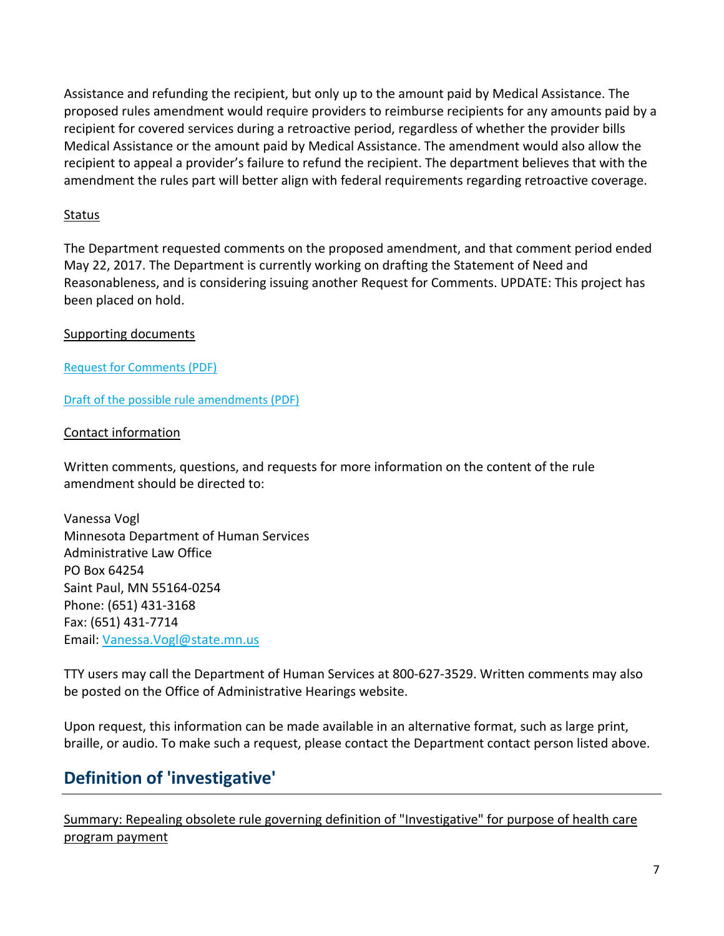Assistance and refunding the recipient, but only up to the amount paid by Medical Assistance. The proposed rules amendment would require providers to reimburse recipients for any amounts paid by a recipient for covered services during a retroactive period, regardless of whether the provider bills Medical Assistance or the amount paid by Medical Assistance. The amendment would also allow the recipient to appeal a provider's failure to refund the recipient. The department believes that with the amendment the rules part will better align with federal requirements regarding retroactive coverage.

## **Status**

The Department requested comments on the proposed amendment, and that comment period ended May 22, 2017. The Department is currently working on drafting the Statement of Need and Reasonableness, and is considering issuing another Request for Comments. UPDATE: This project has been placed on hold.

## Supporting documents

[Request for Comments](https://stage.wcm.mnit.mn.gov/dhs/assets/request-for-comments-possible-amendment-to-rules-governing-retroactive-billing_tcm1053-351935.pdf) (PDF)

[Draft of the possible rule amendments \(PDF\)](https://stage.wcm.mnit.mn.gov/dhs/assets/draft-of-possible-amendment-to-rules-governing-retroactive-billing_tcm1053-351934.pdf)

#### Contact information

Written comments, questions, and requests for more information on the content of the rule amendment should be directed to:

Vanessa Vogl Minnesota Department of Human Services Administrative Law Office PO Box 64254 Saint Paul, MN 55164-0254 Phone: (651) 431-3168 Fax: (651) 431-7714 Email: [Vanessa.Vogl@state.mn.us](mailto:Vanessa.Vogl@state.mn.us)

TTY users may call the Department of Human Services at 800-627-3529. Written comments may also be posted on the Office of Administrative Hearings website.

Upon request, this information can be made available in an alternative format, such as large print, braille, or audio. To make such a request, please contact the Department contact person listed above.

# **Definition of 'investigative'**

Summary: Repealing obsolete rule governing definition of "Investigative" for purpose of health care program payment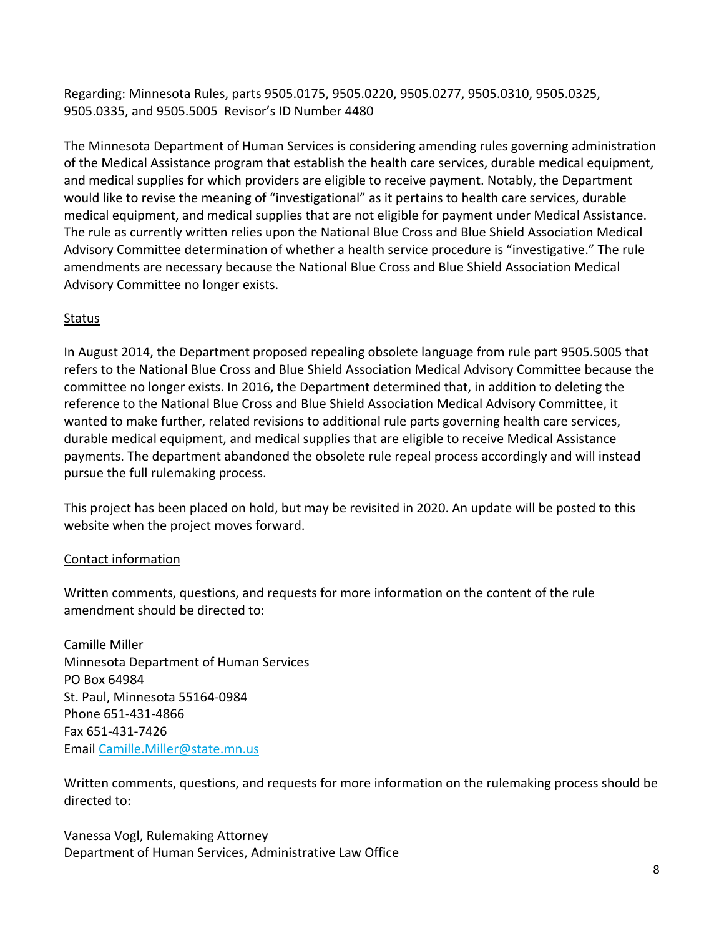Regarding: Minnesota Rules, parts 9505.0175, 9505.0220, 9505.0277, 9505.0310, 9505.0325, 9505.0335, and 9505.5005 Revisor's ID Number 4480

The Minnesota Department of Human Services is considering amending rules governing administration of the Medical Assistance program that establish the health care services, durable medical equipment, and medical supplies for which providers are eligible to receive payment. Notably, the Department would like to revise the meaning of "investigational" as it pertains to health care services, durable medical equipment, and medical supplies that are not eligible for payment under Medical Assistance. The rule as currently written relies upon the National Blue Cross and Blue Shield Association Medical Advisory Committee determination of whether a health service procedure is "investigative." The rule amendments are necessary because the National Blue Cross and Blue Shield Association Medical Advisory Committee no longer exists.

# Status

In August 2014, the Department proposed repealing obsolete language from rule part 9505.5005 that refers to the National Blue Cross and Blue Shield Association Medical Advisory Committee because the committee no longer exists. In 2016, the Department determined that, in addition to deleting the reference to the National Blue Cross and Blue Shield Association Medical Advisory Committee, it wanted to make further, related revisions to additional rule parts governing health care services, durable medical equipment, and medical supplies that are eligible to receive Medical Assistance payments. The department abandoned the obsolete rule repeal process accordingly and will instead pursue the full rulemaking process.

This project has been placed on hold, but may be revisited in 2020. An update will be posted to this website when the project moves forward.

# Contact information

Written comments, questions, and requests for more information on the content of the rule amendment should be directed to:

Camille Miller Minnesota Department of Human Services PO Box 64984 St. Paul, Minnesota 55164-0984 Phone 651-431-4866 Fax 651-431-7426 Email [Camille.Miller@state.mn.us](mailto:Camille.Miller@state.mn.us)

Written comments, questions, and requests for more information on the rulemaking process should be directed to:

Vanessa Vogl, Rulemaking Attorney Department of Human Services, Administrative Law Office